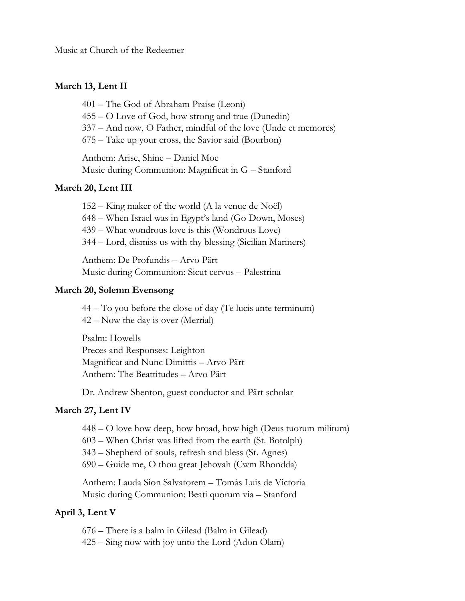Music at Church of the Redeemer

## **March 13, Lent II**

– The God of Abraham Praise (Leoni) – O Love of God, how strong and true (Dunedin) – And now, O Father, mindful of the love (Unde et memores) – Take up your cross, the Savior said (Bourbon)

Anthem: Arise, Shine – Daniel Moe Music during Communion: Magnificat in G – Stanford

### **March 20, Lent III**

– King maker of the world (A la venue de Noël) – When Israel was in Egypt's land (Go Down, Moses) – What wondrous love is this (Wondrous Love) – Lord, dismiss us with thy blessing (Sicilian Mariners)

Anthem: De Profundis – Arvo Pärt Music during Communion: Sicut cervus – Palestrina

#### **March 20, Solemn Evensong**

44 – To you before the close of day (Te lucis ante terminum) 42 – Now the day is over (Merrial)

Psalm: Howells Preces and Responses: Leighton Magnificat and Nunc Dimittis – Arvo Pärt Anthem: The Beattitudes – Arvo Pärt

Dr. Andrew Shenton, guest conductor and Pärt scholar

#### **March 27, Lent IV**

448 – O love how deep, how broad, how high (Deus tuorum militum)

603 – When Christ was lifted from the earth (St. Botolph)

343 – Shepherd of souls, refresh and bless (St. Agnes)

690 – Guide me, O thou great Jehovah (Cwm Rhondda)

Anthem: Lauda Sion Salvatorem – Tomás Luis de Victoria Music during Communion: Beati quorum via – Stanford

#### **April 3, Lent V**

676 – There is a balm in Gilead (Balm in Gilead)

425 – Sing now with joy unto the Lord (Adon Olam)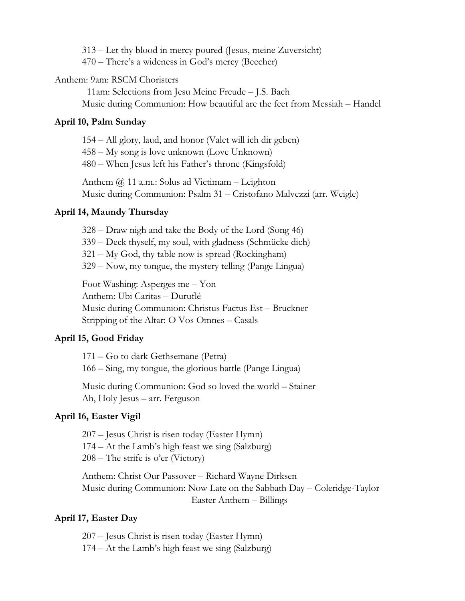313 – Let thy blood in mercy poured (Jesus, meine Zuversicht)

470 – There's a wideness in God's mercy (Beecher)

## Anthem: 9am: RSCM Choristers

 11am: Selections from Jesu Meine Freude – J.S. Bach Music during Communion: How beautiful are the feet from Messiah – Handel

## **April 10, Palm Sunday**

154 – All glory, laud, and honor (Valet will ich dir geben)

458 – My song is love unknown (Love Unknown)

480 – When Jesus left his Father's throne (Kingsfold)

Anthem  $\omega$  11 a.m.: Solus ad Victimam – Leighton Music during Communion: Psalm 31 – Cristofano Malvezzi (arr. Weigle)

## **April 14, Maundy Thursday**

– Draw nigh and take the Body of the Lord (Song 46) – Deck thyself, my soul, with gladness (Schmücke dich) – My God, thy table now is spread (Rockingham) – Now, my tongue, the mystery telling (Pange Lingua)

Foot Washing: Asperges me – Yon Anthem: Ubi Caritas – Duruflé Music during Communion: Christus Factus Est – Bruckner Stripping of the Altar: O Vos Omnes – Casals

# **April 15, Good Friday**

171 – Go to dark Gethsemane (Petra) 166 – Sing, my tongue, the glorious battle (Pange Lingua)

Music during Communion: God so loved the world – Stainer Ah, Holy Jesus – arr. Ferguson

# **April 16, Easter Vigil**

207 – Jesus Christ is risen today (Easter Hymn) 174 – At the Lamb's high feast we sing (Salzburg) 208 – The strife is o'er (Victory)

Anthem: Christ Our Passover – Richard Wayne Dirksen Music during Communion: Now Late on the Sabbath Day – Coleridge-Taylor Easter Anthem – Billings

# **April 17, Easter Day**

207 – Jesus Christ is risen today (Easter Hymn) 174 – At the Lamb's high feast we sing (Salzburg)